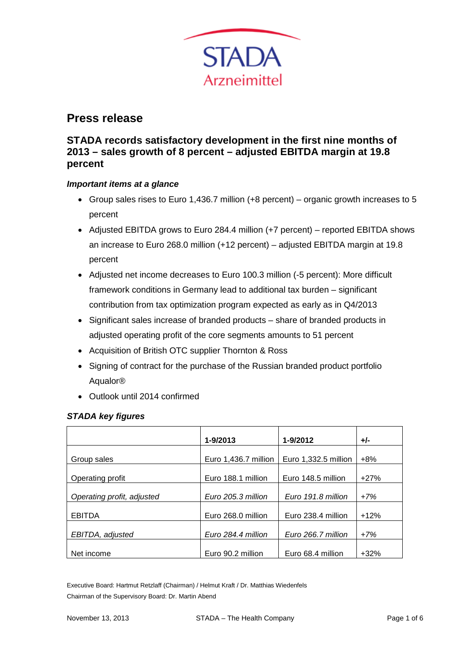

# **Press release**

# **STADA records satisfactory development in the first nine months of 2013 – sales growth of 8 percent – adjusted EBITDA margin at 19.8 percent**

## *Important items at a glance*

- Group sales rises to Euro 1,436.7 million (+8 percent) organic growth increases to 5 percent
- Adjusted EBITDA grows to Euro 284.4 million (+7 percent) reported EBITDA shows an increase to Euro 268.0 million (+12 percent) – adjusted EBITDA margin at 19.8 percent
- Adjusted net income decreases to Euro 100.3 million (-5 percent): More difficult framework conditions in Germany lead to additional tax burden – significant contribution from tax optimization program expected as early as in Q4/2013
- Significant sales increase of branded products share of branded products in adjusted operating profit of the core segments amounts to 51 percent
- Acquisition of British OTC supplier Thornton & Ross
- Signing of contract for the purchase of the Russian branded product portfolio Aqualor®
- Outlook until 2014 confirmed

#### *STADA key figures*

|                            | 1-9/2013             | 1-9/2012             | $+/-$  |
|----------------------------|----------------------|----------------------|--------|
| Group sales                | Euro 1,436.7 million | Euro 1,332.5 million | $+8%$  |
| Operating profit           | Euro 188.1 million   | Euro 148.5 million   | $+27%$ |
| Operating profit, adjusted | Euro 205.3 million   | Euro 191.8 million   | $+7%$  |
| <b>EBITDA</b>              | Euro 268.0 million   | Euro 238.4 million   | $+12%$ |
| EBITDA, adjusted           | Euro 284.4 million   | Euro 266.7 million   | $+7%$  |
| Net income                 | Euro 90.2 million    | Euro 68.4 million    | $+32%$ |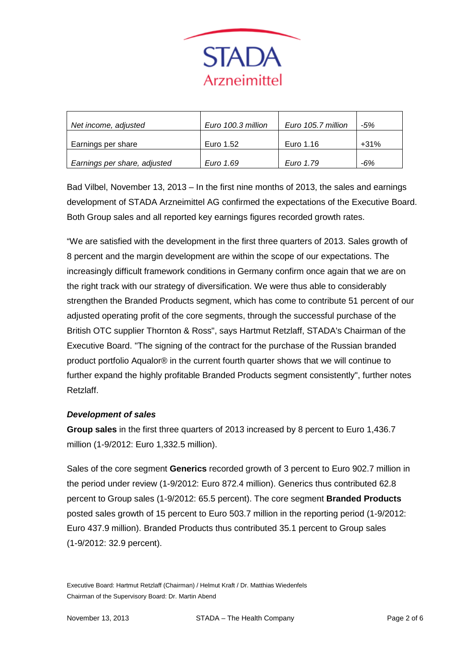

|                              | Euro 100.3 million | Euro 105.7 million | -5%    |
|------------------------------|--------------------|--------------------|--------|
| Net income, adjusted         |                    |                    |        |
|                              |                    |                    |        |
| Earnings per share           | Euro 1.52          | Euro 1.16          | $+31%$ |
|                              |                    |                    |        |
| Earnings per share, adjusted | Euro 1.69          | Euro 1.79          | $-6%$  |

Bad Vilbel, November 13, 2013 – In the first nine months of 2013, the sales and earnings development of STADA Arzneimittel AG confirmed the expectations of the Executive Board. Both Group sales and all reported key earnings figures recorded growth rates.

"We are satisfied with the development in the first three quarters of 2013. Sales growth of 8 percent and the margin development are within the scope of our expectations. The increasingly difficult framework conditions in Germany confirm once again that we are on the right track with our strategy of diversification. We were thus able to considerably strengthen the Branded Products segment, which has come to contribute 51 percent of our adjusted operating profit of the core segments, through the successful purchase of the British OTC supplier Thornton & Ross", says Hartmut Retzlaff, STADA's Chairman of the Executive Board. "The signing of the contract for the purchase of the Russian branded product portfolio Aqualor® in the current fourth quarter shows that we will continue to further expand the highly profitable Branded Products segment consistently", further notes Retzlaff.

#### *Development of sales*

**Group sales** in the first three quarters of 2013 increased by 8 percent to Euro 1,436.7 million (1-9/2012: Euro 1,332.5 million).

Sales of the core segment **Generics** recorded growth of 3 percent to Euro 902.7 million in the period under review (1-9/2012: Euro 872.4 million). Generics thus contributed 62.8 percent to Group sales (1-9/2012: 65.5 percent). The core segment **Branded Products** posted sales growth of 15 percent to Euro 503.7 million in the reporting period (1-9/2012: Euro 437.9 million). Branded Products thus contributed 35.1 percent to Group sales (1-9/2012: 32.9 percent).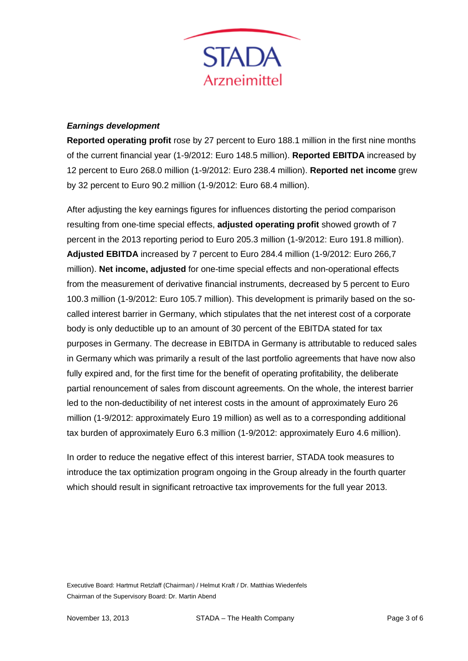

#### *Earnings development*

**Reported operating profit** rose by 27 percent to Euro 188.1 million in the first nine months of the current financial year (1-9/2012: Euro 148.5 million). **Reported EBITDA** increased by 12 percent to Euro 268.0 million (1-9/2012: Euro 238.4 million). **Reported net income** grew by 32 percent to Euro 90.2 million (1-9/2012: Euro 68.4 million).

After adjusting the key earnings figures for influences distorting the period comparison resulting from one-time special effects, **adjusted operating profit** showed growth of 7 percent in the 2013 reporting period to Euro 205.3 million (1-9/2012: Euro 191.8 million). **Adjusted EBITDA** increased by 7 percent to Euro 284.4 million (1-9/2012: Euro 266,7 million). **Net income, adjusted** for one-time special effects and non-operational effects from the measurement of derivative financial instruments, decreased by 5 percent to Euro 100.3 million (1-9/2012: Euro 105.7 million). This development is primarily based on the socalled interest barrier in Germany, which stipulates that the net interest cost of a corporate body is only deductible up to an amount of 30 percent of the EBITDA stated for tax purposes in Germany. The decrease in EBITDA in Germany is attributable to reduced sales in Germany which was primarily a result of the last portfolio agreements that have now also fully expired and, for the first time for the benefit of operating profitability, the deliberate partial renouncement of sales from discount agreements. On the whole, the interest barrier led to the non-deductibility of net interest costs in the amount of approximately Euro 26 million (1-9/2012: approximately Euro 19 million) as well as to a corresponding additional tax burden of approximately Euro 6.3 million (1-9/2012: approximately Euro 4.6 million).

In order to reduce the negative effect of this interest barrier, STADA took measures to introduce the tax optimization program ongoing in the Group already in the fourth quarter which should result in significant retroactive tax improvements for the full year 2013.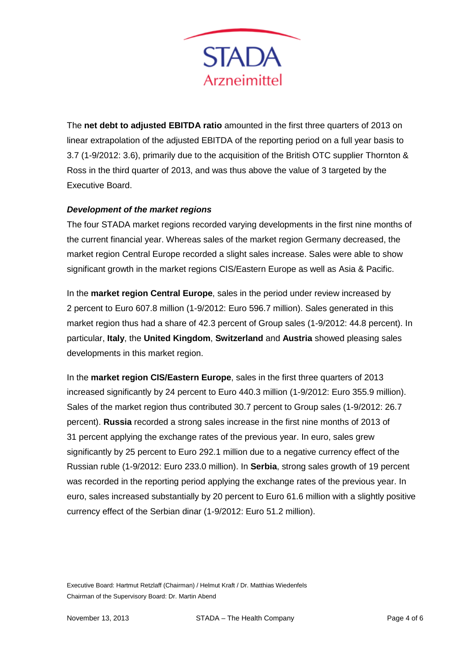

The **net debt to adjusted EBITDA ratio** amounted in the first three quarters of 2013 on linear extrapolation of the adjusted EBITDA of the reporting period on a full year basis to 3.7 (1-9/2012: 3.6), primarily due to the acquisition of the British OTC supplier Thornton & Ross in the third quarter of 2013, and was thus above the value of 3 targeted by the Executive Board.

## *Development of the market regions*

The four STADA market regions recorded varying developments in the first nine months of the current financial year. Whereas sales of the market region Germany decreased, the market region Central Europe recorded a slight sales increase. Sales were able to show significant growth in the market regions CIS/Eastern Europe as well as Asia & Pacific.

In the **market region Central Europe**, sales in the period under review increased by 2 percent to Euro 607.8 million (1-9/2012: Euro 596.7 million). Sales generated in this market region thus had a share of 42.3 percent of Group sales (1-9/2012: 44.8 percent). In particular, **Italy**, the **United Kingdom**, **Switzerland** and **Austria** showed pleasing sales developments in this market region.

In the **market region CIS/Eastern Europe**, sales in the first three quarters of 2013 increased significantly by 24 percent to Euro 440.3 million (1-9/2012: Euro 355.9 million). Sales of the market region thus contributed 30.7 percent to Group sales (1-9/2012: 26.7 percent). **Russia** recorded a strong sales increase in the first nine months of 2013 of 31 percent applying the exchange rates of the previous year. In euro, sales grew significantly by 25 percent to Euro 292.1 million due to a negative currency effect of the Russian ruble (1-9/2012: Euro 233.0 million). In **Serbia**, strong sales growth of 19 percent was recorded in the reporting period applying the exchange rates of the previous year. In euro, sales increased substantially by 20 percent to Euro 61.6 million with a slightly positive currency effect of the Serbian dinar (1-9/2012: Euro 51.2 million).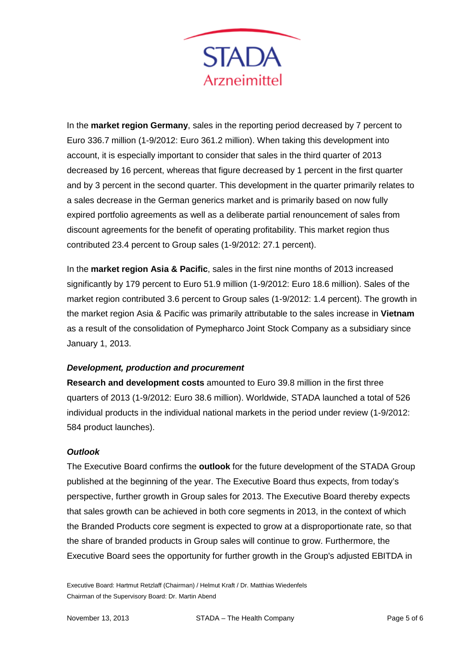

In the **market region Germany**, sales in the reporting period decreased by 7 percent to Euro 336.7 million (1-9/2012: Euro 361.2 million). When taking this development into account, it is especially important to consider that sales in the third quarter of 2013 decreased by 16 percent, whereas that figure decreased by 1 percent in the first quarter and by 3 percent in the second quarter. This development in the quarter primarily relates to a sales decrease in the German generics market and is primarily based on now fully expired portfolio agreements as well as a deliberate partial renouncement of sales from discount agreements for the benefit of operating profitability. This market region thus contributed 23.4 percent to Group sales (1-9/2012: 27.1 percent).

In the **market region Asia & Pacific**, sales in the first nine months of 2013 increased significantly by 179 percent to Euro 51.9 million (1-9/2012: Euro 18.6 million). Sales of the market region contributed 3.6 percent to Group sales (1-9/2012: 1.4 percent). The growth in the market region Asia & Pacific was primarily attributable to the sales increase in **Vietnam**  as a result of the consolidation of Pymepharco Joint Stock Company as a subsidiary since January 1, 2013.

#### *Development, production and procurement*

**Research and development costs** amounted to Euro 39.8 million in the first three quarters of 2013 (1-9/2012: Euro 38.6 million). Worldwide, STADA launched a total of 526 individual products in the individual national markets in the period under review (1-9/2012: 584 product launches).

#### *Outlook*

The Executive Board confirms the **outlook** for the future development of the STADA Group published at the beginning of the year. The Executive Board thus expects, from today's perspective, further growth in Group sales for 2013. The Executive Board thereby expects that sales growth can be achieved in both core segments in 2013, in the context of which the Branded Products core segment is expected to grow at a disproportionate rate, so that the share of branded products in Group sales will continue to grow. Furthermore, the Executive Board sees the opportunity for further growth in the Group's adjusted EBITDA in